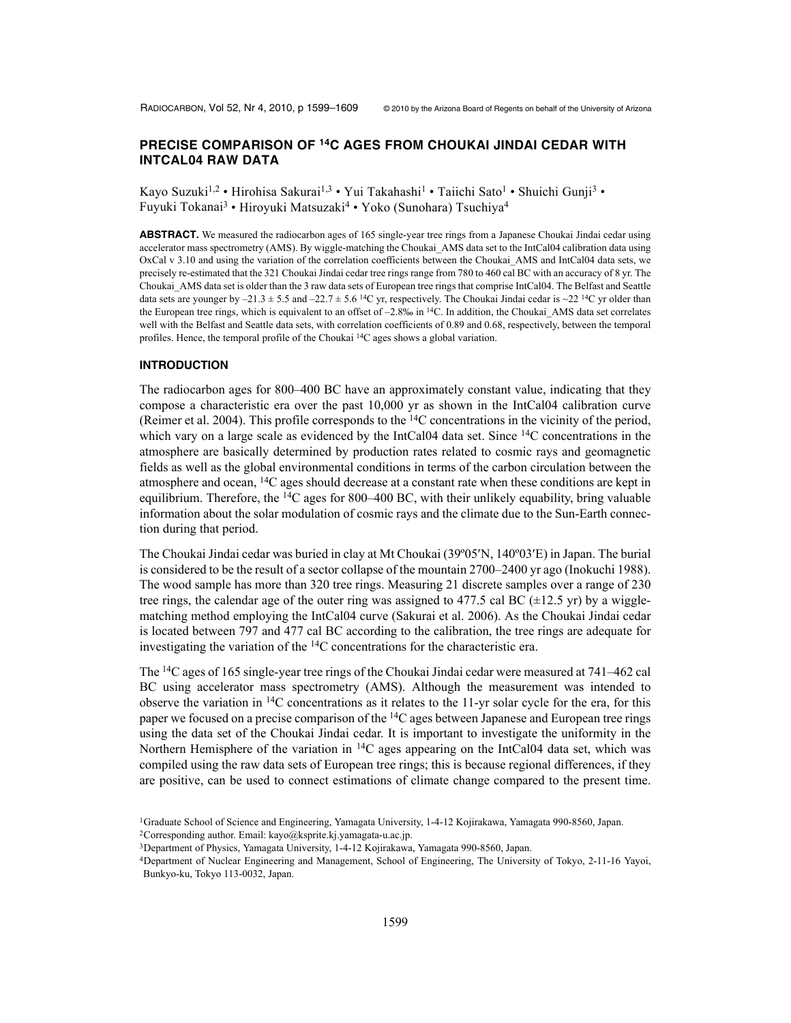# **PRECISE COMPARISON OF 14C AGES FROM CHOUKAI JINDAI CEDAR WITH INTCAL04 RAW DATA**

Kayo Suzuki<sup>1,2</sup> • Hirohisa Sakurai<sup>1,3</sup> • Yui Takahashi<sup>1</sup> • Taiichi Sato<sup>1</sup> • Shuichi Gunji<sup>3</sup> • Fuyuki Tokanai<sup>3</sup> • Hiroyuki Matsuzaki<sup>4</sup> • Yoko (Sunohara) Tsuchiya<sup>4</sup>

**ABSTRACT.** We measured the radiocarbon ages of 165 single-year tree rings from a Japanese Choukai Jindai cedar using accelerator mass spectrometry (AMS). By wiggle-matching the Choukai\_AMS data set to the IntCal04 calibration data using OxCal v 3.10 and using the variation of the correlation coefficients between the Choukai\_AMS and IntCal04 data sets, we precisely re-estimated that the 321 Choukai Jindai cedar tree rings range from 780 to 460 cal BC with an accuracy of 8 yr. The Choukai\_AMS data set is older than the 3 raw data sets of European tree rings that comprise IntCal04. The Belfast and Seattle data sets are younger by  $-21.3 \pm 5.5$  and  $-22.7 \pm 5.6$  <sup>14</sup>C yr, respectively. The Choukai Jindai cedar is  $\sim$ 22 <sup>14</sup>C yr older than the European tree rings, which is equivalent to an offset of  $-2.8\%$  in  $\frac{14C}{1}$ . In addition, the Choukai\_AMS data set correlates well with the Belfast and Seattle data sets, with correlation coefficients of 0.89 and 0.68, respectively, between the temporal profiles. Hence, the temporal profile of the Choukai 14C ages shows a global variation.

#### **INTRODUCTION**

The radiocarbon ages for 800–400 BC have an approximately constant value, indicating that they compose a characteristic era over the past 10,000 yr as shown in the IntCal04 calibration curve (Reimer et al. 2004). This profile corresponds to the 14C concentrations in the vicinity of the period, which vary on a large scale as evidenced by the IntCal04 data set. Since  $14C$  concentrations in the atmosphere are basically determined by production rates related to cosmic rays and geomagnetic fields as well as the global environmental conditions in terms of the carbon circulation between the atmosphere and ocean,  $14C$  ages should decrease at a constant rate when these conditions are kept in equilibrium. Therefore, the <sup>14</sup>C ages for 800–400 BC, with their unlikely equability, bring valuable information about the solar modulation of cosmic rays and the climate due to the Sun-Earth connection during that period.

The Choukai Jindai cedar was buried in clay at Mt Choukai (39°05'N, 140°03'E) in Japan. The burial is considered to be the result of a sector collapse of the mountain 2700–2400 yr ago (Inokuchi 1988). The wood sample has more than 320 tree rings. Measuring 21 discrete samples over a range of 230 tree rings, the calendar age of the outer ring was assigned to 477.5 cal BC  $(\pm 12.5 \text{ yr})$  by a wigglematching method employing the IntCal04 curve (Sakurai et al. 2006). As the Choukai Jindai cedar is located between 797 and 477 cal BC according to the calibration, the tree rings are adequate for investigating the variation of the 14C concentrations for the characteristic era.

The 14C ages of 165 single-year tree rings of the Choukai Jindai cedar were measured at 741–462 cal BC using accelerator mass spectrometry (AMS). Although the measurement was intended to observe the variation in  $^{14}C$  concentrations as it relates to the 11-yr solar cycle for the era, for this paper we focused on a precise comparison of the 14C ages between Japanese and European tree rings using the data set of the Choukai Jindai cedar. It is important to investigate the uniformity in the Northern Hemisphere of the variation in <sup>14</sup>C ages appearing on the IntCal04 data set, which was compiled using the raw data sets of European tree rings; this is because regional differences, if they are positive, can be used to connect estimations of climate change compared to the present time.

<sup>1</sup>Graduate School of Science and Engineering, Yamagata University, 1-4-12 Kojirakawa, Yamagata 990-8560, Japan.

<sup>&</sup>lt;sup>2</sup>Corresponding author. Email: kayo@ksprite.kj.yamagata-u.ac.jp.

<sup>3</sup>Department of Physics, Yamagata University, 1-4-12 Kojirakawa, Yamagata 990-8560, Japan.

<sup>4</sup>Department of Nuclear Engineering and Management, School of Engineering, The University of Tokyo, 2-11-16 Yayoi, Bunkyo-ku, Tokyo 113-0032, Japan.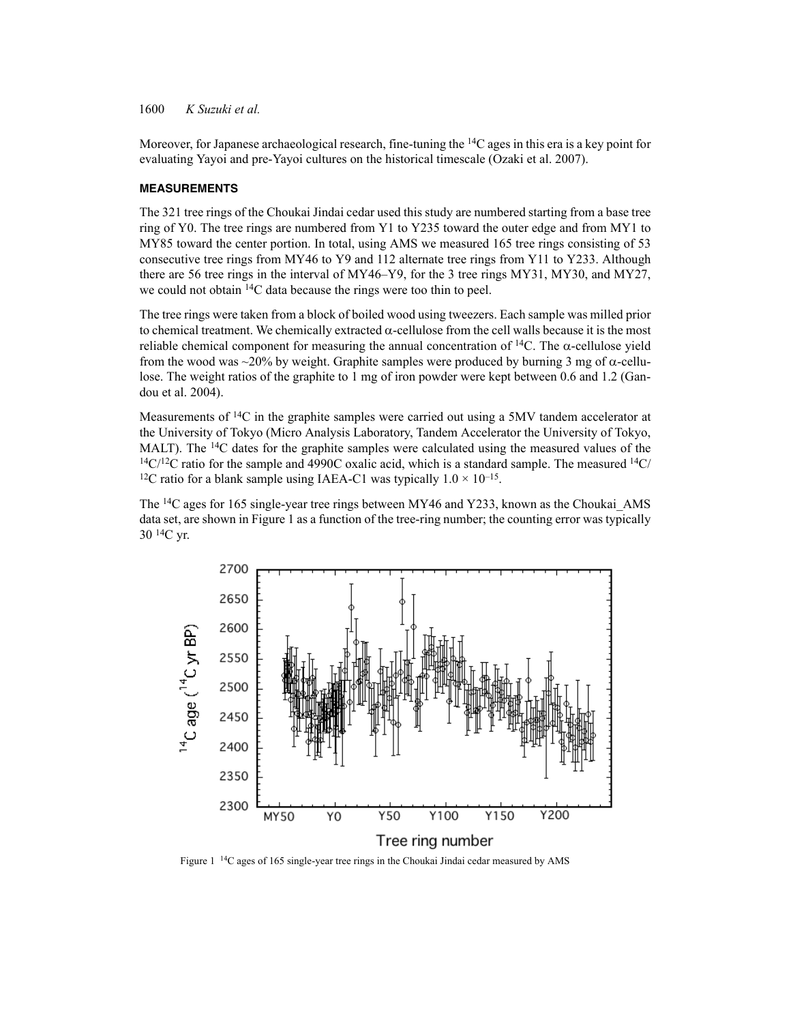Moreover, for Japanese archaeological research, fine-tuning the 14C ages in this era is a key point for evaluating Yayoi and pre-Yayoi cultures on the historical timescale (Ozaki et al. 2007).

### **MEASUREMENTS**

The 321 tree rings of the Choukai Jindai cedar used this study are numbered starting from a base tree ring of Y0. The tree rings are numbered from Y1 to Y235 toward the outer edge and from MY1 to MY85 toward the center portion. In total, using AMS we measured 165 tree rings consisting of 53 consecutive tree rings from MY46 to Y9 and 112 alternate tree rings from Y11 to Y233. Although there are 56 tree rings in the interval of MY46–Y9, for the 3 tree rings MY31, MY30, and MY27, we could not obtain 14C data because the rings were too thin to peel.

The tree rings were taken from a block of boiled wood using tweezers. Each sample was milled prior to chemical treatment. We chemically extracted  $\alpha$ -cellulose from the cell walls because it is the most reliable chemical component for measuring the annual concentration of  $^{14}C$ . The  $\alpha$ -cellulose yield from the wood was  $\sim$ 20% by weight. Graphite samples were produced by burning 3 mg of  $\alpha$ -cellulose. The weight ratios of the graphite to 1 mg of iron powder were kept between 0.6 and 1.2 (Gandou et al. 2004).

Measurements of <sup>14</sup>C in the graphite samples were carried out using a 5MV tandem accelerator at the University of Tokyo (Micro Analysis Laboratory, Tandem Accelerator the University of Tokyo, MALT). The <sup>14</sup>C dates for the graphite samples were calculated using the measured values of the  $14C/12C$  ratio for the sample and 4990C oxalic acid, which is a standard sample. The measured  $14C/12C$ <sup>12</sup>C ratio for a blank sample using IAEA-C1 was typically  $1.0 \times 10^{-15}$ .

The 14C ages for 165 single-year tree rings between MY46 and Y233, known as the Choukai\_AMS data set, are shown in Figure 1 as a function of the tree-ring number; the counting error was typically  $30^{14}$ C yr.



Figure 1 14C ages of 165 single-year tree rings in the Choukai Jindai cedar measured by AMS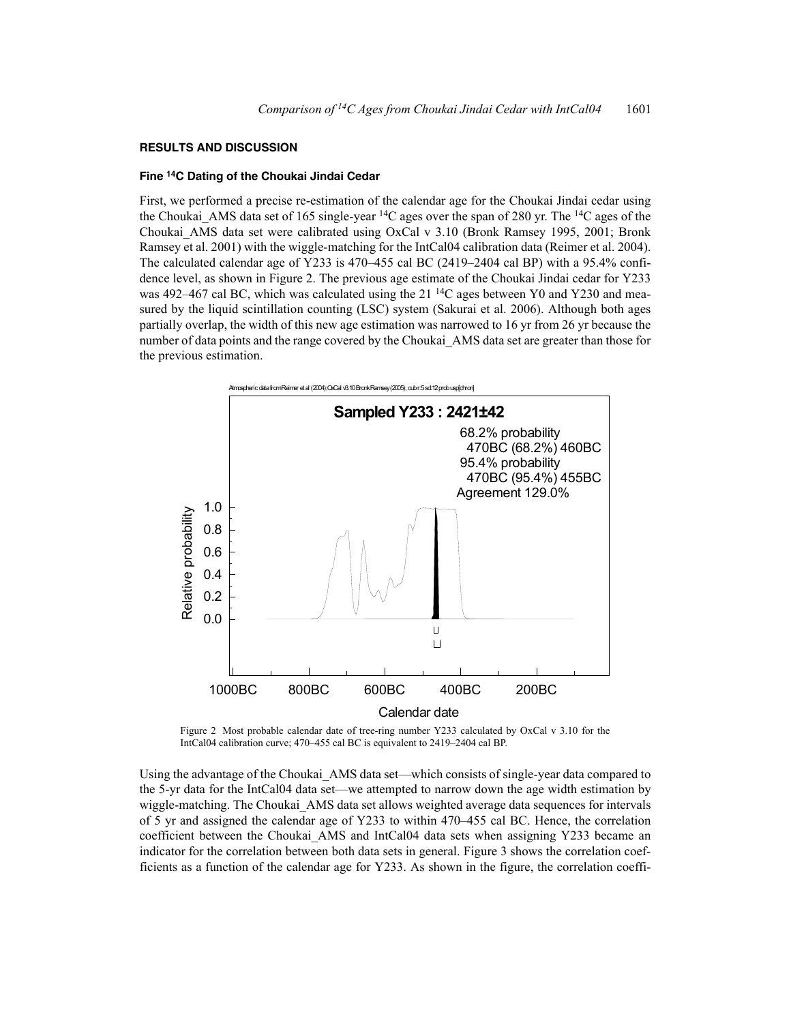#### **RESULTS AND DISCUSSION**

#### **Fine 14C Dating of the Choukai Jindai Cedar**

First, we performed a precise re-estimation of the calendar age for the Choukai Jindai cedar using the Choukai\_AMS data set of 165 single-year 14C ages over the span of 280 yr. The 14C ages of the Choukai\_AMS data set were calibrated using OxCal v 3.10 (Bronk Ramsey 1995, 2001; Bronk Ramsey et al. 2001) with the wiggle-matching for the IntCal04 calibration data (Reimer et al. 2004). The calculated calendar age of Y233 is 470–455 cal BC (2419–2404 cal BP) with a 95.4% confidence level, as shown in Figure 2. The previous age estimate of the Choukai Jindai cedar for Y233 was 492–467 cal BC, which was calculated using the 21<sup>14</sup>C ages between Y0 and Y230 and measured by the liquid scintillation counting (LSC) system (Sakurai et al. 2006). Although both ages partially overlap, the width of this new age estimation was narrowed to 16 yr from 26 yr because the number of data points and the range covered by the Choukai\_AMS data set are greater than those for the previous estimation.



Figure 2 Most probable calendar date of tree-ring number Y233 calculated by OxCal v 3.10 for the IntCal04 calibration curve; 470–455 cal BC is equivalent to 2419–2404 cal BP.

Using the advantage of the Choukai\_AMS data set—which consists of single-year data compared to the 5-yr data for the IntCal04 data set—we attempted to narrow down the age width estimation by wiggle-matching. The Choukai AMS data set allows weighted average data sequences for intervals of 5 yr and assigned the calendar age of Y233 to within 470–455 cal BC. Hence, the correlation coefficient between the Choukai AMS and IntCal04 data sets when assigning Y233 became an indicator for the correlation between both data sets in general. Figure 3 shows the correlation coefficients as a function of the calendar age for Y233. As shown in the figure, the correlation coeffi-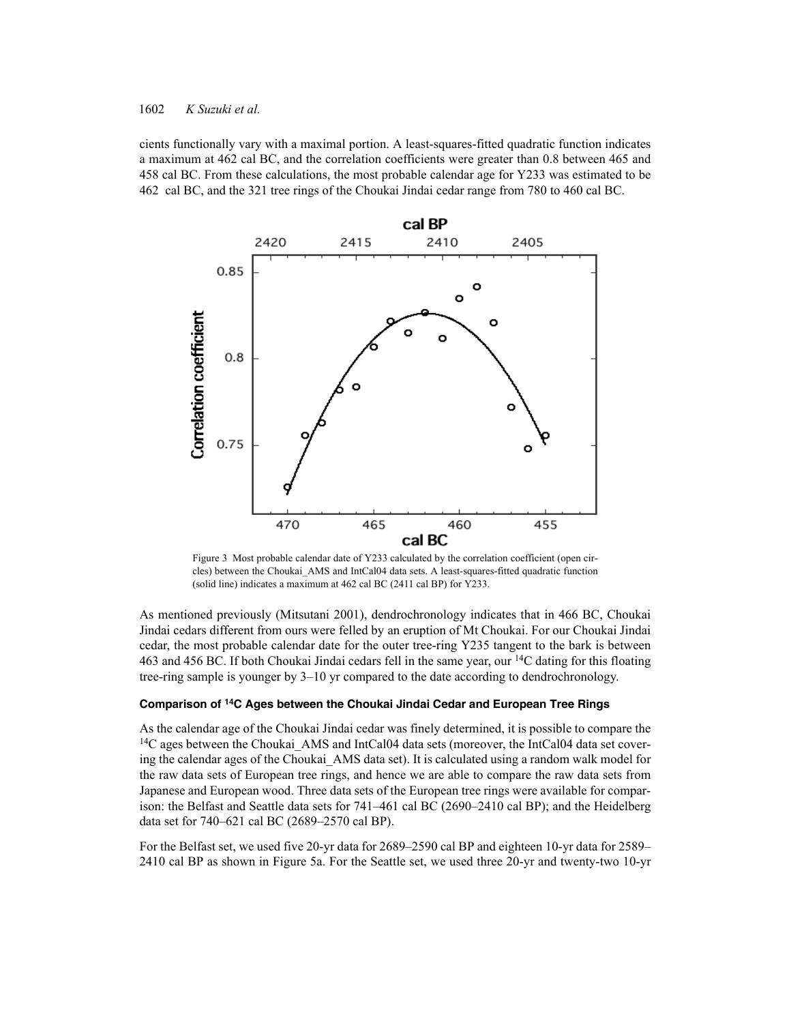cients functionally vary with a maximal portion. A least-squares-fitted quadratic function indicates a maximum at 462 cal BC, and the correlation coefficients were greater than 0.8 between 465 and 458 cal BC. From these calculations, the most probable calendar age for Y233 was estimated to be 462 cal BC, and the 321 tree rings of the Choukai Jindai cedar range from 780 to 460 cal BC.



Figure 3 Most probable calendar date of Y233 calculated by the correlation coefficient (open circles) between the Choukai\_AMS and IntCal04 data sets. A least-squares-fitted quadratic function (solid line) indicates a maximum at 462 cal BC (2411 cal BP) for Y233.

As mentioned previously (Mitsutani 2001), dendrochronology indicates that in 466 BC, Choukai Jindai cedars different from ours were felled by an eruption of Mt Choukai. For our Choukai Jindai cedar, the most probable calendar date for the outer tree-ring Y235 tangent to the bark is between 463 and 456 BC. If both Choukai Jindai cedars fell in the same year, our 14C dating for this floating tree-ring sample is younger by 3–10 yr compared to the date according to dendrochronology.

### **Comparison of 14C Ages between the Choukai Jindai Cedar and European Tree Rings**

As the calendar age of the Choukai Jindai cedar was finely determined, it is possible to compare the  $14C$  ages between the Choukai AMS and IntCal04 data sets (moreover, the IntCal04 data set covering the calendar ages of the Choukai AMS data set). It is calculated using a random walk model for the raw data sets of European tree rings, and hence we are able to compare the raw data sets from Japanese and European wood. Three data sets of the European tree rings were available for comparison: the Belfast and Seattle data sets for 741–461 cal BC (2690–2410 cal BP); and the Heidelberg data set for 740–621 cal BC (2689–2570 cal BP).

For the Belfast set, we used five 20-yr data for 2689–2590 cal BP and eighteen 10-yr data for 2589– 2410 cal BP as shown in Figure 5a. For the Seattle set, we used three 20-yr and twenty-two 10-yr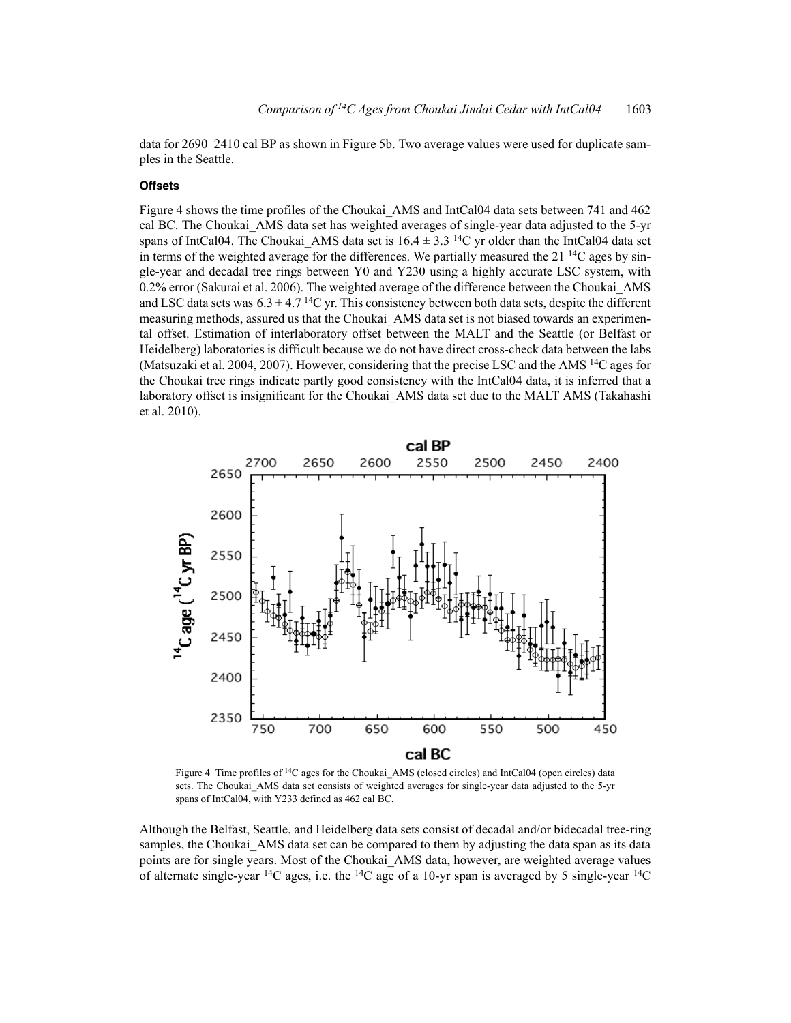data for 2690–2410 cal BP as shown in Figure 5b. Two average values were used for duplicate samples in the Seattle.

### **Offsets**

Figure 4 shows the time profiles of the Choukai\_AMS and IntCal04 data sets between 741 and 462 cal BC. The Choukai\_AMS data set has weighted averages of single-year data adjusted to the 5-yr spans of IntCal04. The Choukai AMS data set is  $16.4 \pm 3.3$  <sup>14</sup>C yr older than the IntCal04 data set in terms of the weighted average for the differences. We partially measured the  $21^{14}$ C ages by single-year and decadal tree rings between Y0 and Y230 using a highly accurate LSC system, with 0.2% error (Sakurai et al. 2006). The weighted average of the difference between the Choukai\_AMS and LSC data sets was  $6.3 \pm 4.7$  <sup>14</sup>C yr. This consistency between both data sets, despite the different measuring methods, assured us that the Choukai\_AMS data set is not biased towards an experimental offset. Estimation of interlaboratory offset between the MALT and the Seattle (or Belfast or Heidelberg) laboratories is difficult because we do not have direct cross-check data between the labs (Matsuzaki et al. 2004, 2007). However, considering that the precise LSC and the AMS 14C ages for the Choukai tree rings indicate partly good consistency with the IntCal04 data, it is inferred that a laboratory offset is insignificant for the Choukai\_AMS data set due to the MALT AMS (Takahashi et al. 2010).



Figure 4 Time profiles of <sup>14</sup>C ages for the Choukai AMS (closed circles) and IntCal04 (open circles) data sets. The Choukai\_AMS data set consists of weighted averages for single-year data adjusted to the 5-yr spans of IntCal04, with Y233 defined as 462 cal BC.

Although the Belfast, Seattle, and Heidelberg data sets consist of decadal and/or bidecadal tree-ring samples, the Choukai AMS data set can be compared to them by adjusting the data span as its data points are for single years. Most of the Choukai\_AMS data, however, are weighted average values of alternate single-year <sup>14</sup>C ages, i.e. the <sup>14</sup>C age of a 10-yr span is averaged by 5 single-year <sup>14</sup>C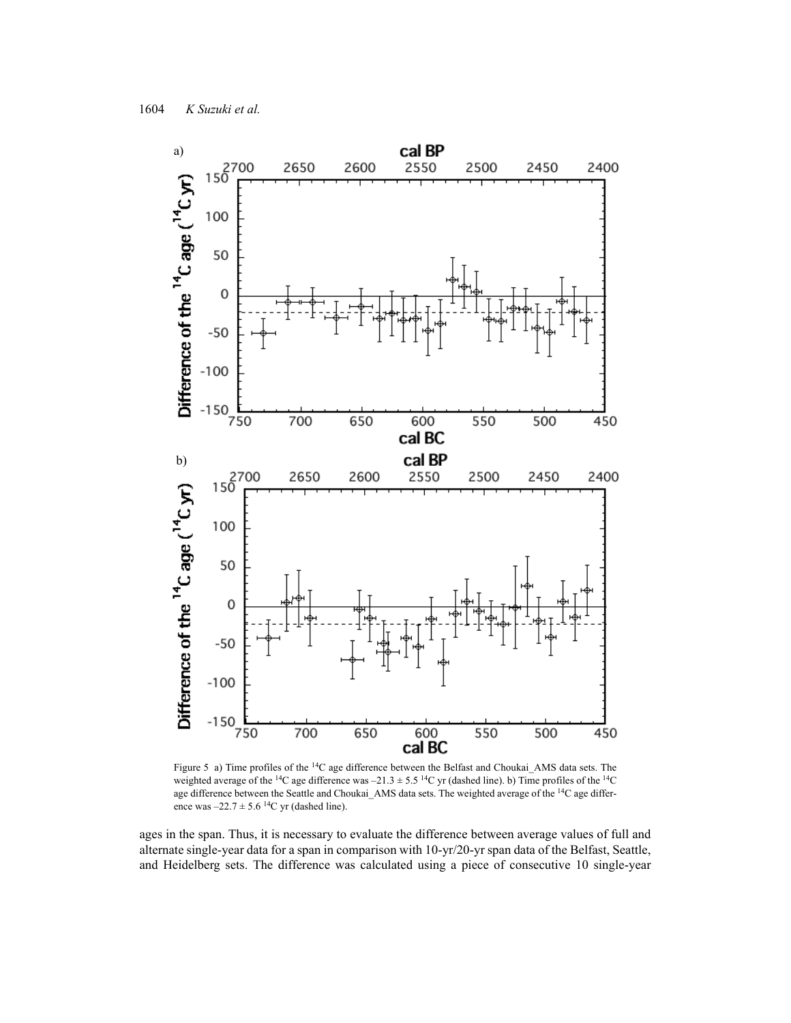

Figure 5 a) Time profiles of the 14C age difference between the Belfast and Choukai\_AMS data sets. The weighted average of the <sup>14</sup>C age difference was  $-21.3 \pm 5.5$  <sup>14</sup>C yr (dashed line). b) Time profiles of the <sup>14</sup>C age difference between the Seattle and Choukai\_AMS data sets. The weighted average of the <sup>14</sup>C age difference was  $-22.7 \pm 5.6$  <sup>14</sup>C yr (dashed line).

ages in the span. Thus, it is necessary to evaluate the difference between average values of full and alternate single-year data for a span in comparison with 10-yr/20-yr span data of the Belfast, Seattle, and Heidelberg sets. The difference was calculated using a piece of consecutive 10 single-year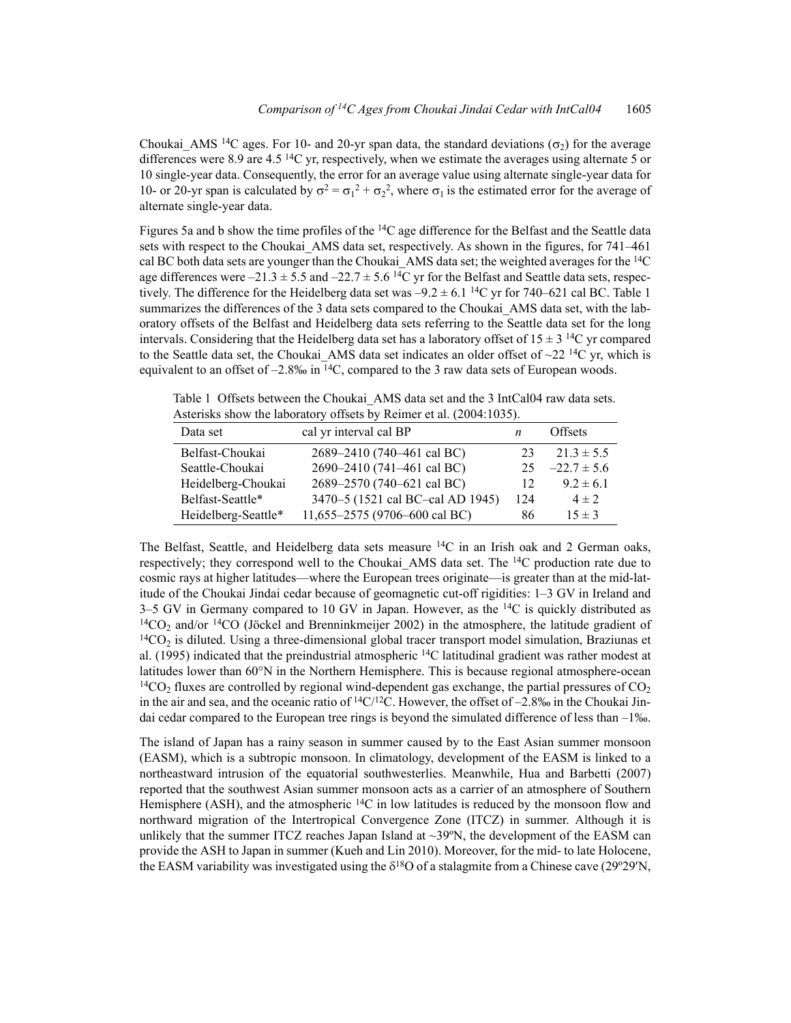Choukai AMS <sup>14</sup>C ages. For 10- and 20-yr span data, the standard deviations ( $\sigma_2$ ) for the average differences were 8.9 are 4.5<sup>14</sup>C yr, respectively, when we estimate the averages using alternate 5 or 10 single-year data. Consequently, the error for an average value using alternate single-year data for 10- or 20-yr span is calculated by  $\sigma^2 = \sigma_1^2 + \sigma_2^2$ , where  $\sigma_1$  is the estimated error for the average of alternate single-year data.

Figures 5a and b show the time profiles of the  $14C$  age difference for the Belfast and the Seattle data sets with respect to the Choukai\_AMS data set, respectively. As shown in the figures, for 741–461 cal BC both data sets are younger than the Choukai AMS data set; the weighted averages for the  $^{14}C$ age differences were  $-21.3 \pm 5.5$  and  $-22.7 \pm 5.6$  <sup>14</sup>C yr for the Belfast and Seattle data sets, respectively. The difference for the Heidelberg data set was  $-9.2 \pm 6.1$  <sup>14</sup>C yr for 740–621 cal BC. Table 1 summarizes the differences of the 3 data sets compared to the Choukai AMS data set, with the laboratory offsets of the Belfast and Heidelberg data sets referring to the Seattle data set for the long intervals. Considering that the Heidelberg data set has a laboratory offset of  $15 \pm 3$  <sup>14</sup>C yr compared to the Seattle data set, the Choukai AMS data set indicates an older offset of  $\sim$ 22 <sup>14</sup>C yr, which is equivalent to an offset of  $-2.8\%$  in  $\frac{14}{C}$ , compared to the 3 raw data sets of European woods.

Table 1 Offsets between the Choukai AMS data set and the 3 IntCal04 raw data sets. Asterisks show the laboratory offsets by Reimer et al. (2004:1035).

| Data set            | cal yr interval cal BP           | n   | <b>Offsets</b>  |
|---------------------|----------------------------------|-----|-----------------|
|                     |                                  |     |                 |
| Belfast-Choukai     | 2689-2410 (740-461 cal BC)       | 23  | $21.3 \pm 5.5$  |
| Seattle-Choukai     | 2690-2410 (741-461 cal BC)       | 25  | $-22.7 \pm 5.6$ |
| Heidelberg-Choukai  | 2689-2570 (740-621 cal BC)       | 12  | $9.2 \pm 6.1$   |
| Belfast-Seattle*    | 3470-5 (1521 cal BC-cal AD 1945) | 124 | $4 \pm 2$       |
| Heidelberg-Seattle* | 11,655-2575 (9706-600 cal BC)    | 86  | $15 \pm 3$      |

The Belfast, Seattle, and Heidelberg data sets measure  $14C$  in an Irish oak and 2 German oaks, respectively; they correspond well to the Choukai AMS data set. The  $^{14}C$  production rate due to cosmic rays at higher latitudes—where the European trees originate—is greater than at the mid-latitude of the Choukai Jindai cedar because of geomagnetic cut-off rigidities: 1–3 GV in Ireland and 3–5 GV in Germany compared to 10 GV in Japan. However, as the  $14C$  is quickly distributed as  $14CO<sub>2</sub>$  and/or  $14CO$  (Jöckel and Brenninkmeijer 2002) in the atmosphere, the latitude gradient of  $14CO<sub>2</sub>$  is diluted. Using a three-dimensional global tracer transport model simulation, Braziunas et al. (1995) indicated that the preindustrial atmospheric 14C latitudinal gradient was rather modest at latitudes lower than 60°N in the Northern Hemisphere. This is because regional atmosphere-ocean <sup>14</sup>CO<sub>2</sub> fluxes are controlled by regional wind-dependent gas exchange, the partial pressures of CO<sub>2</sub> in the air and sea, and the oceanic ratio of  $\frac{14C}{12C}$ . However, the offset of -2.8‰ in the Choukai Jindai cedar compared to the European tree rings is beyond the simulated difference of less than –1‰.

The island of Japan has a rainy season in summer caused by to the East Asian summer monsoon (EASM), which is a subtropic monsoon. In climatology, development of the EASM is linked to a northeastward intrusion of the equatorial southwesterlies. Meanwhile, Hua and Barbetti (2007) reported that the southwest Asian summer monsoon acts as a carrier of an atmosphere of Southern Hemisphere (ASH), and the atmospheric  $^{14}C$  in low latitudes is reduced by the monsoon flow and northward migration of the Intertropical Convergence Zone (ITCZ) in summer. Although it is unlikely that the summer ITCZ reaches Japan Island at  $\sim$ 39 $\degree$ N, the development of the EASM can provide the ASH to Japan in summer (Kueh and Lin 2010). Moreover, for the mid- to late Holocene, the EASM variability was investigated using the  $\delta^{18}$ O of a stalagmite from a Chinese cave (29°29′N,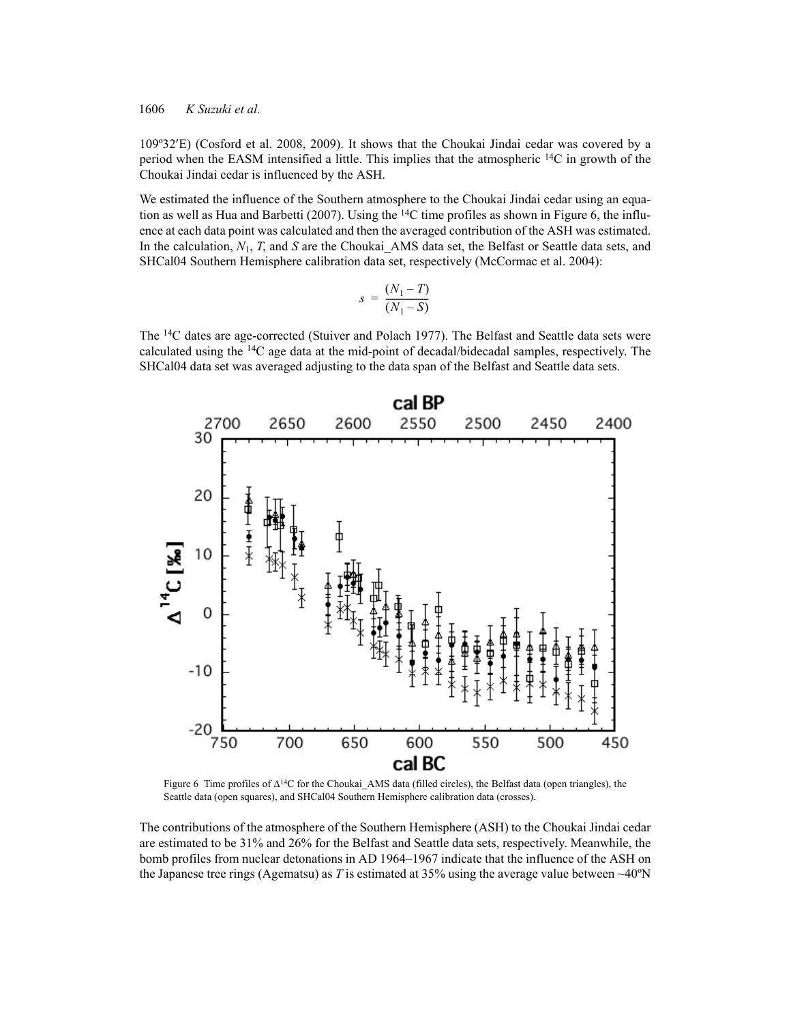109º32E) (Cosford et al. 2008, 2009). It shows that the Choukai Jindai cedar was covered by a period when the EASM intensified a little. This implies that the atmospheric  $^{14}$ C in growth of the Choukai Jindai cedar is influenced by the ASH.

We estimated the influence of the Southern atmosphere to the Choukai Jindai cedar using an equation as well as Hua and Barbetti (2007). Using the  $14C$  time profiles as shown in Figure 6, the influence at each data point was calculated and then the averaged contribution of the ASH was estimated. In the calculation,  $N_1$ , *T*, and *S* are the Choukai\_AMS data set, the Belfast or Seattle data sets, and SHCal04 Southern Hemisphere calibration data set, respectively (McCormac et al. 2004):

$$
s = \frac{(N_1 - T)}{(N_1 - S)}
$$

The 14C dates are age-corrected (Stuiver and Polach 1977). The Belfast and Seattle data sets were calculated using the 14C age data at the mid-point of decadal/bidecadal samples, respectively. The SHCal04 data set was averaged adjusting to the data span of the Belfast and Seattle data sets.



Figure 6 Time profiles of  $\Delta^{14}C$  for the Choukai AMS data (filled circles), the Belfast data (open triangles), the Seattle data (open squares), and SHCal04 Southern Hemisphere calibration data (crosses).

The contributions of the atmosphere of the Southern Hemisphere (ASH) to the Choukai Jindai cedar are estimated to be 31% and 26% for the Belfast and Seattle data sets, respectively. Meanwhile, the bomb profiles from nuclear detonations in AD 1964–1967 indicate that the influence of the ASH on the Japanese tree rings (Agematsu) as *T* is estimated at 35% using the average value between  $\sim$ 40°N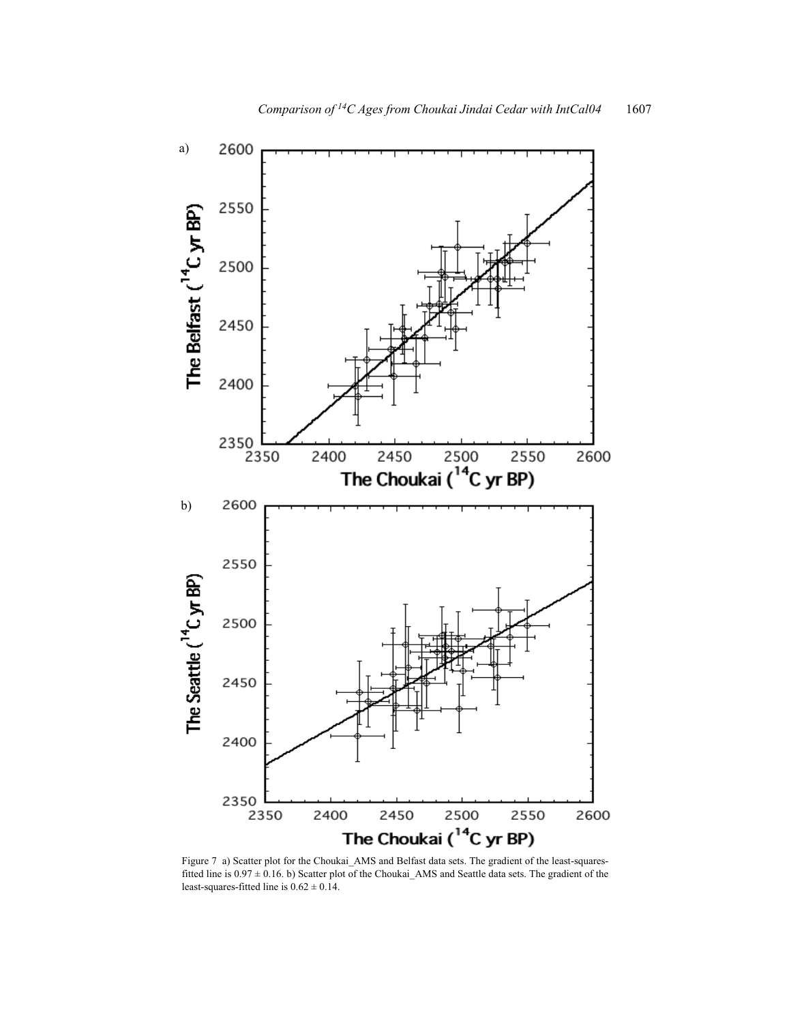

a)

The Belfast (<sup>14</sup>C yr BP) 2400 2350<br>2350 0 2450 2500 255<br>The Choukai (<sup>14</sup>C yr BP) 2550 2400 2600 2600 b)2550 The Seattle (<sup>14</sup>C yr BP) 2500 2450 2400 2350<br>2350 2450 2500 2550 2400 2600 The Choukai (<sup>14</sup>C yr BP)

Figure 7 a) Scatter plot for the Choukai\_AMS and Belfast data sets. The gradient of the least-squaresfitted line is 0.97 ± 0.16. b) Scatter plot of the Choukai\_AMS and Seattle data sets. The gradient of the least-squares-fitted line is  $0.62 \pm 0.14$ .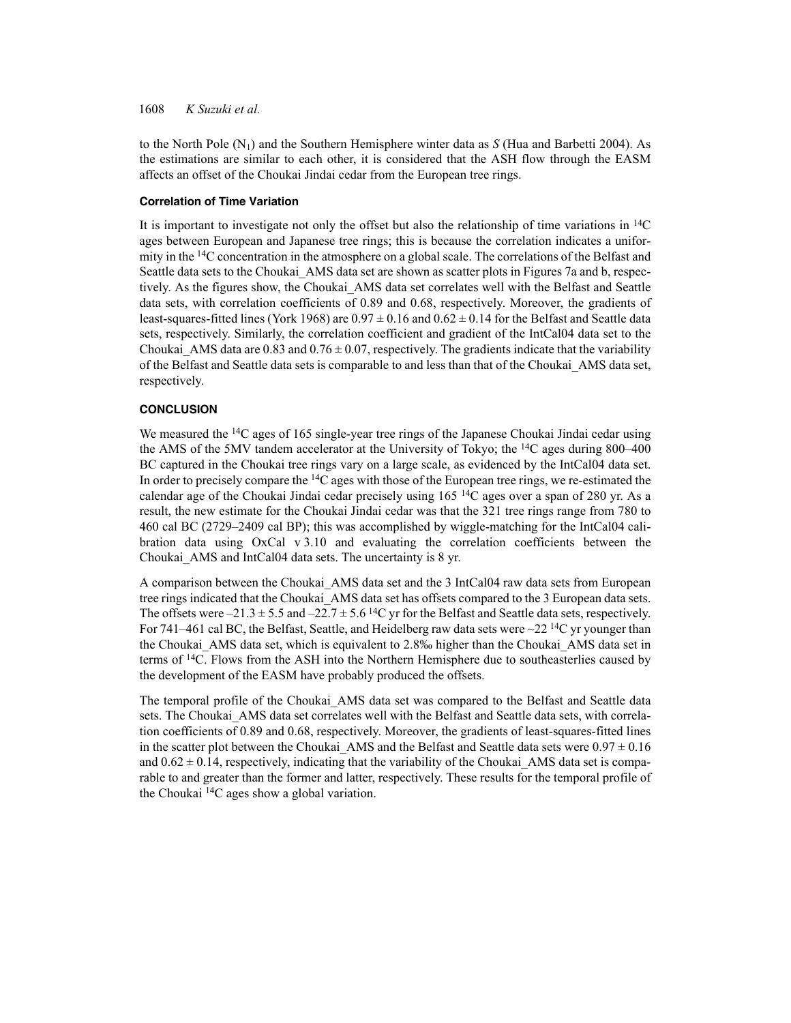to the North Pole  $(N_1)$  and the Southern Hemisphere winter data as  $S$  (Hua and Barbetti 2004). As the estimations are similar to each other, it is considered that the ASH flow through the EASM affects an offset of the Choukai Jindai cedar from the European tree rings.

## **Correlation of Time Variation**

It is important to investigate not only the offset but also the relationship of time variations in  $^{14}$ C ages between European and Japanese tree rings; this is because the correlation indicates a uniformity in the 14C concentration in the atmosphere on a global scale. The correlations of the Belfast and Seattle data sets to the Choukai AMS data set are shown as scatter plots in Figures 7a and b, respectively. As the figures show, the Choukai\_AMS data set correlates well with the Belfast and Seattle data sets, with correlation coefficients of 0.89 and 0.68, respectively. Moreover, the gradients of least-squares-fitted lines (York 1968) are  $0.97 \pm 0.16$  and  $0.62 \pm 0.14$  for the Belfast and Seattle data sets, respectively. Similarly, the correlation coefficient and gradient of the IntCal04 data set to the Choukai AMS data are 0.83 and 0.76  $\pm$  0.07, respectively. The gradients indicate that the variability of the Belfast and Seattle data sets is comparable to and less than that of the Choukai\_AMS data set, respectively.

# **CONCLUSION**

We measured the <sup>14</sup>C ages of 165 single-year tree rings of the Japanese Choukai Jindai cedar using the AMS of the 5MV tandem accelerator at the University of Tokyo; the  ${}^{14}C$  ages during 800–400 BC captured in the Choukai tree rings vary on a large scale, as evidenced by the IntCal04 data set. In order to precisely compare the  ${}^{14}C$  ages with those of the European tree rings, we re-estimated the calendar age of the Choukai Jindai cedar precisely using  $165<sup>14</sup>C$  ages over a span of 280 yr. As a result, the new estimate for the Choukai Jindai cedar was that the 321 tree rings range from 780 to 460 cal BC (2729–2409 cal BP); this was accomplished by wiggle-matching for the IntCal04 calibration data using OxCal v 3.10 and evaluating the correlation coefficients between the Choukai\_AMS and IntCal04 data sets. The uncertainty is 8 yr.

A comparison between the Choukai\_AMS data set and the 3 IntCal04 raw data sets from European tree rings indicated that the Choukai\_AMS data set has offsets compared to the 3 European data sets. The offsets were  $-21.3 \pm 5.5$  and  $-22.7 \pm 5.6$  <sup>14</sup>C yr for the Belfast and Seattle data sets, respectively. For 741–461 cal BC, the Belfast, Seattle, and Heidelberg raw data sets were  $\sim$ 22<sup>14</sup>C yr younger than the Choukai\_AMS data set, which is equivalent to 2.8‰ higher than the Choukai\_AMS data set in terms of 14C. Flows from the ASH into the Northern Hemisphere due to southeasterlies caused by the development of the EASM have probably produced the offsets.

The temporal profile of the Choukai AMS data set was compared to the Belfast and Seattle data sets. The Choukai AMS data set correlates well with the Belfast and Seattle data sets, with correlation coefficients of 0.89 and 0.68, respectively. Moreover, the gradients of least-squares-fitted lines in the scatter plot between the Choukai AMS and the Belfast and Seattle data sets were  $0.97 \pm 0.16$ and  $0.62 \pm 0.14$ , respectively, indicating that the variability of the Choukai AMS data set is comparable to and greater than the former and latter, respectively. These results for the temporal profile of the Choukai 14C ages show a global variation.